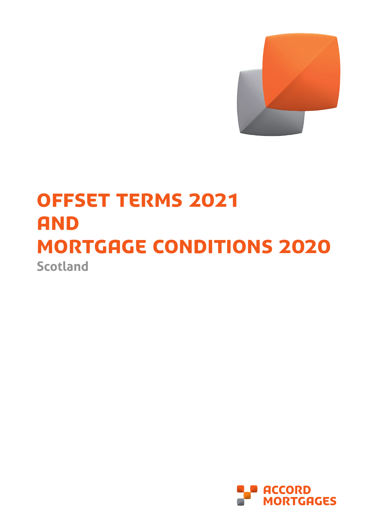

# **Scotland** OFFSET TERMS 2021 **AND** mortgage conditions 2020

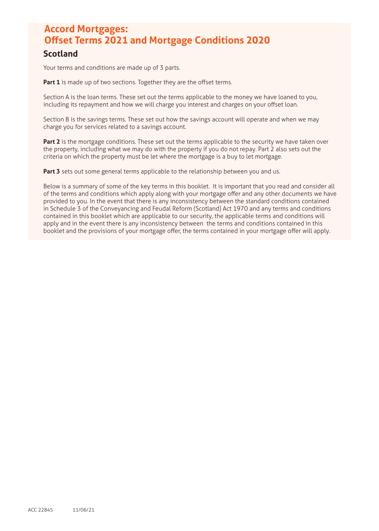# **Accord Mortgages: Offset Terms 2021 and Mortgage Conditions 2020 Scotland**

Your terms and conditions are made up of 3 parts.

Part 1 is made up of two sections. Together they are the offset terms.

Section A is the loan terms. These set out the terms applicable to the money we have loaned to you, including its repayment and how we will charge you interest and charges on your offset loan.

Section B is the savings terms. These set out how the savings account will operate and when we may charge you for services related to a savings account.

Part 2 is the mortgage conditions. These set out the terms applicable to the security we have taken over the property, including what we may do with the property if you do not repay. Part 2 also sets out the criteria on which the property must be let where the mortgage is a buy to let mortgage.

Part 3 sets out some general terms applicable to the relationship between you and us.

Below is a summary of some of the key terms in this booklet. It is important that you read and consider all of the terms and conditions which apply along with your mortgage offer and any other documents we have provided to you. In the event that there is any inconsistency between the standard conditions contained in Schedule 3 of the Conveyancing and Feudal Reform (Scotland) Act 1970 and any terms and conditions contained in this booklet which are applicable to our security, the applicable terms and conditions will apply and in the event there is any inconsistency between the terms and conditions contained in this booklet and the provisions of your mortgage offer, the terms contained in your mortgage offer will apply.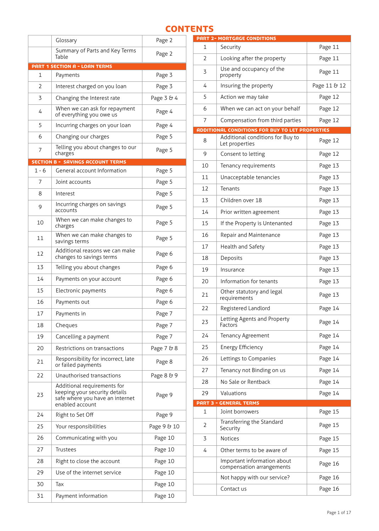# **CONTENTS**

|         | Glossary                                                                                                           | Page 2      |
|---------|--------------------------------------------------------------------------------------------------------------------|-------------|
|         | Summary of Parts and Key Terms<br>Table                                                                            | Page 2      |
|         | <b>PART 1 SECTION A - LOAN TERMS</b>                                                                               |             |
| 1       | Payments                                                                                                           | Page 3      |
| 2       | Interest charged on you loan                                                                                       | Page 3      |
| 3       | Changing the Interest rate                                                                                         | Page 3 & 4  |
| 4       | When we can ask for repayment<br>of everything you owe us                                                          | Page 4      |
| 5       | Incurring charges on your loan                                                                                     | Page 4      |
| 6       | Changing our charges                                                                                               | Page 5      |
| 7       | Telling you about changes to our<br>charges                                                                        | Page 5      |
|         | <b>SECTION B - SAVINGS ACCOUNT TERMS</b>                                                                           |             |
| $1 - 6$ | General account Information                                                                                        | Page 5      |
| 7       | Joint accounts                                                                                                     | Page 5      |
| 8       | Interest                                                                                                           | Page 5      |
| 9       | Incurring charges on savings<br>accounts                                                                           | Page 5      |
| 10      | When we can make changes to<br>charges                                                                             | Page 5      |
| 11      | When we can make changes to<br>savings terms                                                                       | Page 5      |
| 12      | Additional reasons we can make<br>changes to savings terms                                                         | Page 6      |
| 13      | Telling you about changes                                                                                          | Page 6      |
| 14      | Payments on your account                                                                                           | Page 6      |
| 15      | Electronic payments                                                                                                | Page 6      |
| 16      | Payments out                                                                                                       | Page 6      |
| 17      | Payments in                                                                                                        | Page 7      |
| 18      | Cheques                                                                                                            | Page 7      |
| 19      | Cancelling a payment                                                                                               | Page 7      |
| 20      | Restrictions on transactions                                                                                       | Page 7 & 8  |
| 21      | Responsibility for incorrect, late<br>or failed payments                                                           | Page 8      |
| 22      | Unauthorised transactions                                                                                          | Page 8 & 9  |
| 23      | Additional requirements for<br>keeping your security details<br>safe where you have an internet<br>enabled account | Page 9      |
| 24      | Right to Set Off                                                                                                   | Page 9      |
| 25      | Your responsibilities                                                                                              | Page 9 & 10 |
| 26      | Communicating with you                                                                                             | Page 10     |
| 27      | Trustees                                                                                                           | Page 10     |
| 28      | Right to close the account                                                                                         | Page 10     |
| 29      | Use of the internet service                                                                                        | Page 10     |
| 30      | Тах                                                                                                                | Page 10     |
| 31      | Payment information                                                                                                | Page 10     |

|              | <b>PART 2- MORTGAGE CONDITIONS</b>                       |              |
|--------------|----------------------------------------------------------|--------------|
| $\mathbf{1}$ | Security                                                 | Page 11      |
| 2            | Looking after the property                               | Page 11      |
| 3            | Use and occupancy of the<br>property                     | Page 11      |
| 4            | Insuring the property                                    | Page 11 & 12 |
| 5            | Action we may take                                       | Page 12      |
| 6            | When we can act on your behalf                           | Page 12      |
| 7            | Compensation from third parties                          | Page 12      |
|              | ADDITIONAL CONDITIONS FOR BUY TO LET PROPERTIES          |              |
| 8            | Additional conditions for Buy to<br>Let properties       | Page 12      |
| 9            | Consent to letting                                       | Page 12      |
| 10           | Page 13<br>Tenancy requirements                          |              |
| 11           | Page 13<br>Unacceptable tenancies                        |              |
| 12           | Page 13<br>Tenants                                       |              |
| 13           | Children over 18<br>Page 13                              |              |
| 14           | Prior written agreement                                  | Page 13      |
| 15           | If the Property is Untenanted                            | Page 13      |
| 16           | Repair and Maintenance                                   | Page 13      |
| 17           | Health and Safety                                        | Page 13      |
| 18           | Deposits                                                 | Page 13      |
| 19           | Insurance                                                | Page 13      |
| 20           | Information for tenants                                  | Page 13      |
| 21           | Other statutory and legal<br>requirements                | Page 13      |
| 22           | Registered Landlord                                      | Page 14      |
| 23           | Letting Agents and Property<br>Factors                   | Page 14      |
| 24           | Tenancy Agreement                                        | Page 14      |
| 25           | <b>Energy Efficiency</b>                                 | Page 14      |
| 26           | Lettings to Companies                                    | Page 14      |
| 27           | Tenancy not Binding on us                                | Page 14      |
| 28           | No Sale or Rentback                                      | Page 14      |
| 29           | Valuations                                               | Page 14      |
|              | <b>PART 3 - GENERAL TERMS</b>                            |              |
| 1            | Joint borrowers                                          | Page 15      |
| 2            | Transferring the Standard<br>Security                    | Page 15      |
| 3            | Notices                                                  | Page 15      |
| 4            | Other terms to be aware of                               | Page 15      |
|              | Important information about<br>compensation arrangements | Page 16      |
|              | Not happy with our service?                              | Page 16      |
|              | Contact us                                               | Page 16      |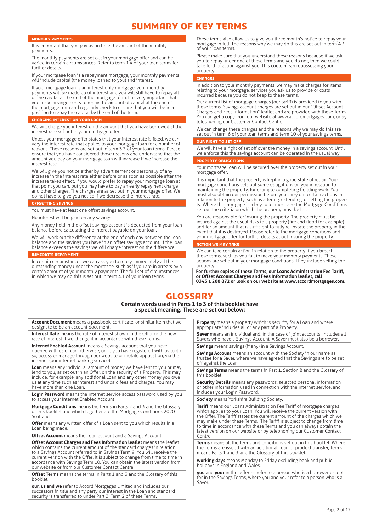# SUMMARY OF KEY TERMS

#### Monthly payments

It is important that you pay us on time the amount of the monthly payments.

The monthly payments are set out in your mortgage offer and can be varied in certain circumstances. Refer to term 1.4 of your loan terms for further details.

If your mortgage loan is a repayment mortgage, your monthly payments will include capital (the money loaned to you) and interest.

If your mortgage loan is an interest only mortgage, your monthly payments will be made up of interest and you will still have to repay all of the capital at the end of the mortgage term. It is very important that you make arrangements to repay the amount of capital at the end of the mortgage term and regularly check to ensure that you will be in a position to repay the capital by the end of the term.

#### CHARGING INTEREST ON YOUR LOAN

We will charge you interest on the amount that you have borrowed at the interest rate set out in your mortgage offer.

Unless your mortgage offer states that your interest rate is fixed, we can vary the interest rate that applies to your mortgage loan for a number of reasons. These reasons are set out in term 3.3 of your loan terms. Please ensure that you have considered those reasons and understand that the amount you pay on your mortgage loan will increase if we increase the interest rate.

We will give you notice either by advertisement or personally of any increase in the interest rate either before or as soon as possible after the increase takes effect. If you would prefer to repay your mortgage loan at that point you can, but you may have to pay an early repayment charge and other charges. The charges are as set out in your mortgage offer. We do not have to give you notice if we decrease the interest rate.

#### OFFSETTING SAVING

You must have at least one offset savings account.

No interest will be paid on any savings.

Any money held in the offset savings account is deducted from your loan balance before calculating the interest payable on your loan.

We will work out the difference at the end of each day between the loan balance and the savings you have in an offset savings account. If the loan balance exceeds the savings we will charge interest on the difference. .

#### Immediate repayment

In certain circumstances we can ask you to repay immediately all the outstanding money under the mortgage, such as if you are in arrears by a certain amount of your monthly payments. The full set of circumstances in which we may do this is set out in term 4.1 of your loan terms.

These terms also allow us to give you three month's notice to repay your mortgage in full. The reasons why we may do this are set out in term 4.3 of your loan terms.

Please make sure that you understand these reasons because if we ask you to repay under one of these terms and you do not, then we could take further action against you. This could mean repossessing your property.

#### **CHARGES**

In addition to your monthly payments, we may make charges for items relating to your mortgage, services you ask us to provide or costs incurred because you do not keep to these terms

Our current list of mortgage charges (our tariff) is provided to you with these terms. Savings account charges are set out in our "Offset Account Charges and Fees Information" leaflet and are provided with these Terms. You can get a copy from our website at www.accordmortgages.com, or by telephoning our Customer Contact Centre.

We can change these charges and the reasons why we may do this are set out in term 6 of your loan terms and term 10 of your savings terms.

# OUR RIGHT TO SET OF

We will have a right of set off over the money in a savings account. Until we enforce this the savings account can be operated in the usual way.

#### PROPERTY OBLIGATION:

Your mortgage loan will be secured over the property set out in your mortgage offer.

It is important that the property is kept in a good state of repair. Your mortgage conditions sets out some obligations on you in relation to maintaining the property, for example completing building work. You must also obtain our permission before you carry out certain actions in relation to the property, such as altering, extending, or letting the property. Where the mortgage is a buy to let mortgage the Mortgage Conditions set out the criteria on which the property must be let.

You are responsible for insuring the property. The property must be insured against the usual risks to a property (fire and flood for example) and for an amount that is sufficient to fully re-instate the property in the event that it is destroyed. Please refer to the mortgage conditions and your mortgage offer for further details about insuring the property.

#### **ACTION WE MAY**

We can take certain action in relation to the property if you breach these terms, such as you fail to make your monthly payments. These actions are set out in your mortgage conditions. They include selling the property.

**For further copies of these Terms, our Loans Administration Fee Tariff, or Offset Account Charges and Fees Information leaflet, call 0345 1 200 872 or look on our website at www.accordmortgages.com.**

# GLOSSARY

#### **Certain words used in Parts 1 to 3 of this booklet have a special meaning. These are set out below:**

**Account Document** means a passbook, certificate, or similar item that we designate to be an account document.

**Interest Rate** means the rate of interest shown in the Offer or the new rate of interest if we change it in accordance with these Terms.

**Internet Enabled Account** means a Savings account that you have opened with us or can otherwise, once you have registered with us to do so, access or manage through our website or mobile application, via the internet (our internet banking service)

**Loan** means any individual amount of money we have lent to you or may lend to you, as set out in an Offer, on the security of a Property. This may include, for example, any additional Loan and any other money you owe us at any time such as interest and unpaid fees and charges. You may have more than one Loan.

**Login Password** means the internet service access password used by you to access your Internet Enabled Account

**Mortgage Conditions** means the terms in Parts 2 and 3 and the Glossary of this booklet and which together are the Mortgage Conditions 2020 Scotland.

**Offer** means any written offer of a Loan sent to you which results in a Loan being made.

**Offset Account** means the Loan account and a Savings Account.

**Offset Account Charges and Fees Information leaflet** means the leaflet which contains the current amount of the standard charges in relation to a Savings Account referred to in Savings Term 9. You will receive the current version with the Offer. It is subject to change from time to time in accordance with Savings Term 10. You can obtain the latest version from our website or from our Customer Contact Centre.

**Offset Terms** means the terms in Parts 1 and 3 and the Glossary of this booklet.

**our, us and we** refer to Accord Mortgages Limited and includes our successors in title and any party our interest in the Loan and standard security is transferred to under Part 3, Term 2 of these Terms.

**Property** means a property which is security for a Loan and where appropriate includes all or any part of a Property.

**Saver** means an individual and, in the case of joint accounts, includes all Savers who have a Savings Account. A Saver must also be a borrower. **Savings** means savings (if any) in a Savings Account.

**Savings Account** means an account with the Society in our name as trustee for a Saver, where we have agreed that the Savings are to be set off against the Loan.

**Savings Terms** means the terms in Part 1, Section B and the Glossary of this booklet.

**Security Details** means any passwords, selected personal information or other information used in connection with the internet service, and includes your Login Password.

**Society** means Yorkshire Building Society.

**Tariff** means our Loans Administration Fee Tariff of mortgage charges which applies to your Loan. You will receive the current version with the Offer. The Tariff states the current amount of the charges which we may make under these Terms. The Tariff is subject to change from time to time in accordance with these Terms and you can always obtain the latest version on our website or by telephoning our Customer Contact Centre.

**Terms** means all the terms and conditions set out in this booklet. Where the Terms are issued with an additional Loan or product transfer, Terms means Parts 1 and 3 and the Glossary of this booklet.

**working days** means Monday to Friday excluding bank and public holidays in England and Wales.

**you** and **your** in these Terms refer to a person who is a borrower except for in the Savings Terms, where you and your refer to a person who is a Saver.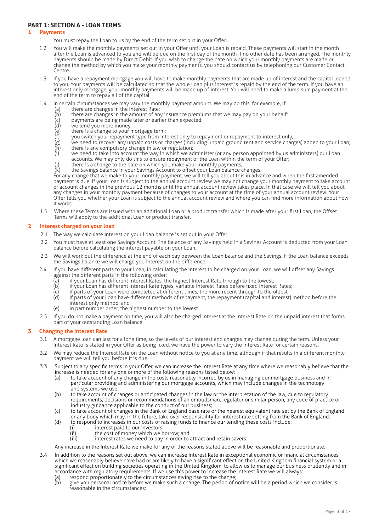# **PART 1: SECTION A - LOAN TERMS**

# **1 Payments**

- 1.1 You must repay the Loan to us by the end of the term set out in your Offer.
	- 1.2 You will make the monthly payments set out in your Offer until your Loan is repaid. These payments will start in the month after the Loan is advanced to you and will be due on the first day of the month if no other date has been arranged. The monthly payments should be made by Direct Debit. If you wish to change the date on which your monthly payments are made or change the method by which you make your monthly payments, you should contact us by telephoning our Customer Contact Centre.
	- 1.3 If you have a repayment mortgage you will have to make monthly payments that are made up of interest and the capital loaned to you. Your payments will be calculated so that the whole Loan plus interest is repaid by the end of the term. If you have an interest only mortgage, your monthly payments will be made up of interest. You will need to make a lump sum payment at the end of the term to repay all of the capital.
	- 1.4 In certain circumstances we may vary the monthly payment amount. We may do this, for example, if:
		- (a) there are changes in the Interest Rate;
		- (b) there are changes in the amount of any insurance premiums that we may pay on your behalf;<br>(c) payments are being made later or earlier than expected;
		- (c) payments are being made later or earlier than expected;
		- $(d)$  we lend you more money;<br>(e) there is a change to your n
		- (e) there is a change to your mortgage term;
		- (f) you switch your repayment type from interest only to repayment or repayment to interest only;
		- (g) we need to recover any unpaid costs or charges (including unpaid ground rent and service charges) added to your Loan;  $\begin{array}{lll} \text{(g)} & \text{we need to recover any unpaid costs or charges (incl.)} \\ \text{(h)} & \text{there is any complusory change in law or regulation;} \\ \text{(i)} & \text{we need to take into account the way in which we are a certain value of the original system.} \end{array}$
		- we need to take into account the way in which we administer (or any person appointed by us administers) our Loan accounts. We may only do this to ensure repayment of the Loan within the term of your Offer;
		- $(i)$  there is a change to the date on which you make your monthly payments;
		- (k) the Savings balance in your Savings Account to offset your Loan balance changes.

For any change that we make to your monthly payment, we will tell you about this in advance and when the first amended payment is due. If your Loan is subject to the annual account review we may not change your monthly payment to take account of account changes in the previous 12 months until the annual account review takes place. In that case we will tell you about any changes in your monthly payment because of changes to your account at the time of your annual account review. Your Offer tells you whether your Loan is subject to the annual account review and where you can find more information about how it works.

1.5 Where these Terms are issued with an additional Loan or a product transfer which is made after your first Loan, the Offset Terms will apply to the additional Loan or product transfer.

# **2 Interest charged on your loan**

- 2.1 The way we calculate interest on your Loan balance is set out in your Offer.
- 2.2 You must have at least one Savings Account. The balance of any Savings held in a Savings Account is deducted from your Loan balance before calculating the interest payable on your Loan.
- 2.3 We will work out the difference at the end of each day between the Loan balance and the Savings. If the Loan balance exceeds the Savings balance we will charge you interest on the difference.
- 2.4 If you have different parts to your Loan, in calculating the interest to be charged on your Loan, we will offset any Savings against the different parts in the following order:
	- (a) if your Loan has different Interest Rates, the highest Interest Rate through to the lowest;<br>(b) if your Loan has different Interest Rate types, variable Interest Rates before fixed Interes
	- (b) if your Loan has different Interest Rate types, variable Interest Rates before fixed Interest Rates;<br>(c) if parts of your Loan were completed at different times, the more recent through to the oldest;
	- (c) if parts of your Loan were completed at different times, the more recent through to the oldest;
	- if parts of your Loan have different methods of repayment, the repayment (capital and interest) method before the interest only method; and
	- (e) in part number order, the highest number to the lowest.
- 2.5 If you do not make a payment on time, you will also be charged interest at the Interest Rate on the unpaid interest that forms part of your outstanding Loan balance.

# **3 Changing the Interest Rate**

- 3.1 A mortgage loan can last for a long time, so the levels of our interest and charges may change during the term. Unless your Interest Rate is stated in your Offer as being fixed, we have the power to vary the Interest Rate for certain reasons.
- 3.2 We may reduce the Interest Rate on the Loan without notice to you at any time, although if that results in a different monthly payment we will tell you before it is due.
- 3.3 Subject to any specific terms in your Offer, we can increase the Interest Rate at any time where we reasonably believe that the increase is needed for any one or more of the following reasons listed below:
	- (a) to take account of any change in the costs reasonably incurred by us in managing our mortgage business and in particular providing and administering our mortgage accounts, which may include changes in the technology and systems we use;
	- (b) to take account of changes or anticipated changes in the law or the interpretation of the law, due to regulatory requirements, decisions or recommendations of an ombudsman, regulator or similar person, any code of practice or industry guidance applicable to the conduct of our business;
	- (c) to take account of changes in the Bank of England base rate or the nearest equivalent rate set by the Bank of England or any body which may, in the future, take over responsibility for interest rate setting from the Bank of England;
	- (d) to respond to increases in our costs of raising funds to finance our lending these costs include:<br>(i) interest paid to our investors:
		- (i) interest paid to our investors:<br>(ii) the cost of money which we b
		- (ii) the cost of money which we borrow; and<br>(iii) interest rates we need to pay in order to
		- interest rates we need to pay in order to attract and retain savers.

Any increase in the Interest Rate we make for any of the reasons stated above will be reasonable and proportionate.

- 3.4 In addition to the reasons set out above, we can increase Interest Rate in exceptional economic or financial circumstances which we reasonably believe have had or are likely to have a significant effect on the United Kingdom financial system or a significant effect on building societies operating in the United Kingdom, to allow us to manage our business prudently and in accordance with regulatory requirements. If we use this power to increase the Interest Rate we will always:
	- (a) respond proportionately to the circumstances giving rise to the change;<br>(b) give you personal notice before we make such a change. The period of i
	- give you personal notice before we make such a change. The period of notice will be a period which we consider is reasonable in the circumstances;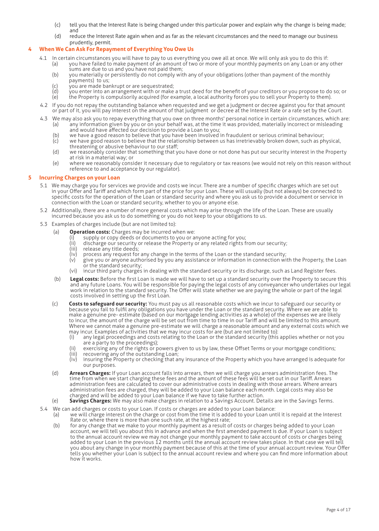- (c) tell you that the Interest Rate is being changed under this particular power and explain why the change is being made; and
- (d) reduce the Interest Rate again when and as far as the relevant circumstances and the need to manage our business prudently, permit.

# **4 When We Can Ask For Repayment of Everything You Owe Us**

- 4.1 In certain circumstances you will have to pay to us everything you owe all at once. We will only ask you to do this if: (a) you have failed to make payment of an amount of two or more of your monthly payments on any Loan or any other
	- sums are due to us and you have not paid them;
	- (b) you materially or persistently do not comply with any of your obligations (other than payment of the monthly payments) to us;
	-
	- (c) you are made bankrupt or are sequestrated;<br>(d) you enter into an arrangement with or make  $\overline{d}$  you enter into an arrangement with or make a trust deed for the benefit of your creditors or you propose to do so; or  $\overline{e}$  the Property is compulsorily acquired (for example, a local authority forces you to s the Property is compulsorily acquired (for example, a local authority forces you to sell your Property to them).
- 4.2 If you do not repay the outstanding balance when requested and we get a judgment or decree against you for that amount or part of it, you will pay interest on the amount of that judgment or decree at the Interest Rate or a rate set by the Court.
- 4.3 We may also ask you to repay everything that you owe on three months' personal notice in certain circumstances, which are: (a) any information given by you or on your behalf was, at the time it was provided, materially incorrect or misleading
	- and would have affected our decision to provide a Loan to you;
	- (b) we have a good reason to believe that you have been involved in fraudulent or serious criminal behaviour;<br>(c) we have good reason to believe that the relationship between us has irretrievably broken down, such as ph we have good reason to believe that the relationship between us has irretrievably broken down, such as physical, threatening or abusive behaviour to our staff;
	- (d) we reasonably consider that something that you have done or not done has put our security interest in the Property at risk in a material way; or
	- (e) where we reasonably consider it necessary due to regulatory or tax reasons (we would not rely on this reason without reference to and acceptance by our regulator).

# **5 Incurring Charges on your Loan**

- 5.1 We may charge you for services we provide and costs we incur. There are a number of specific charges which are set out in your Offer and Tariff and which form part of the price for your Loan. These will usually (but not always) be connected to specific costs for the operation of the Loan or standard security and where you ask us to provide a document or service in connection with the Loan or standard security, whether to you or anyone else.
- 5.2 Additionally, there are a number of more general costs which may arise through the life of the Loan. These are usually incurred because you ask us to do something or you do not keep to your obligations to us.
- 5.3 Examples of charges include (but are not limited to):
	- (a) **Operation costs:** Charges may be incurred when we:
		- (i) supply or copy deeds or documents to you or anyone acting for you;
		- (ii) discharge our security or release the Property or any related rights from our security;
		- (iii) release any title deeds;
		- $(iv)$  process any request for any change in the terms of the Loan or the standard security;<br>(v) eive you or anyone authorised by you any assistance or information in connection wi
		- give you or anyone authorised by you any assistance or information in connection with the Property, the Loan or the standard security;
		- (vi) incur third party charges in dealing with the standard security or its discharge, such as Land Register fees.
	- (b) **Legal costs:** Before the first Loan is made we will have to set up a standard security over the Property to secure this and any future Loans. You will be responsible for paying the legal costs of any conveyancer who undertakes our legal work in relation to the standard security. The Offer will state whether we are paying the whole or part of the legal costs involved in setting up the first Loan.
	- (c) **Costs to safeguard our security:** You must pay us all reasonable costs which we incur to safeguard our security or because you fail to fulfil any obligations you have under the Loan or the standard security. Where we are able to make a genuine pre- estimate (based on our mortgage lending activities as a whole) of the expenses we are likely to incur, the amount of the charge will be set out from time to time in our Tariff and will be limited to this amount. Where we cannot make a genuine pre-estimate we will charge a reasonable amount and any external costs which we may incur. Examples of activities that we may incur costs for are (but are not limited to):
		- (i) any legal proceedings and costs relating to the Loan or the standard security (this applies whether or not you are a party to the proceedings);
		- (ii) exercising any of the rights or powers given to us by law, these Offset Terms or your mortgage conditions;<br>(iii) recovering any of the outstanding Loan:
		- (iii) recovering any of the outstanding Loan;<br>(iv) insuring the Property or checking that a
		- insuring the Property or checking that any insurance of the Property which you have arranged is adequate for our purposes.
	- (d) **Arrears Charges:** If your Loan account falls into arrears, then we will charge you arrears administration fees. The time from when we start charging these fees and the amount of these fees will be set out in our Tariff. Arrears administration fees are calculated to cover our administrative costs in dealing with those arrears. Where arrears administration fees are charged, they will be added to your Loan balance each month. Legal costs may also be charged and will be added to your Loan balance if we have to take further action.
	- (e) **Savings Charges:** We may also make charges in relation to a Savings Account. Details are in the Savings Terms.
- 5.4 We can add charges or costs to your Loan. If costs or charges are added to your Loan balance:
	- (a) we will charge interest on the charge or cost from the time it is added to your Loan until it is repaid at the Interest Rate or, where there is more than one such rate, at the highest rate;
	- (b) for any change that we make to your monthly payment as a result of costs or charges being added to your Loan account, we will tell you about this in advance and when the first amended payment is due. If your Loan is subject to the annual account review we may not change your monthly payment to take account of costs or charges being added to your Loan in the previous 12 months until the annual account review takes place. In that case we will tell you about any change in your monthly payment because of this at the time of your annual account review. Your Offer tells you whether your Loan is subject to the annual account review and where you can find more information about how it works.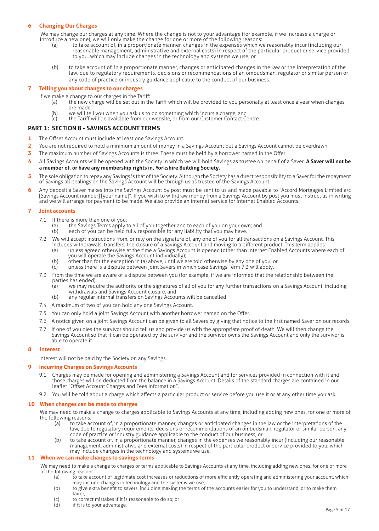# **6 Changing Our Charges**

We may change our charges at any time. Where the change is not to your advantage (for example, if we increase a charge or introduce a new one), we will only make the change for one or more of the following reasons:

- (a) to take account of, in a proportionate manner, changes in the expenses which we reasonably incur (including our reasonable management, administrative and external costs) in respect of the particular product or service provided to you, which may include changes in the technology and systems we use; or
- (b) to take account of, in a proportionate manner, changes or anticipated changes in the law or the interpretation of the law, due to regulatory requirements, decisions or recommendations of an ombudsman, regulator or similar person or any code of practice or industry guidance applicable to the conduct of our business.

# **7 Telling you about changes to our charges**

- 
- If we make a change to our charges in the Tariff:<br>(a) the new charge will be set out in th the new charge will be set out in the Tariff which will be provided to you personally at least once a year when changes are made;
	- (b) we will tell you when you ask us to do something which incurs a charge; and (c) the Tariff will be available from our website, or from our Customer Contact Co
	- the Tariff will be available from our website, or from our Customer Contact Centre.

# **PART 1: SECTION B - SAVINGS ACCOUNT TERMS**

- **1** The Offset Account must include at least one Savings Account.
- **2** You are not required to hold a minimum amount of money in a Savings Account but a Savings Account cannot be overdrawn.
- **3** The maximum number of Savings Accounts is three. These must be held by a borrower named in the Offer.
- **4** All Savings Accounts will be opened with the Society in which we will hold Savings as trustee on behalf of a Saver. **A Saver will not be a member of, or have any membership rights in, Yorkshire Building Society.**
- **5** The sole obligation to repay any Savings is that of the Society. Although the Society has a direct responsibility to a Saver for the repayment of Savings all dealings on the Savings Account will be through us as trustee of the Savings Account.
- **6** Any deposit a Saver makes into the Savings Account by post must be sent to us and made payable to "Accord Mortgages Limited a/c [Savings Account number] [your name]". If you wish to withdraw money from a Savings Account by post you must instruct us in writing and we will arrange for payment to be made. We also provide an internet service for Internet Enabled Accounts.

# **7 Joint accounts**

- 7.1 If there is more than one of you:
	- (a) the Savings Terms apply to all of you together and to each of you on your own; and (b) each of you can be held fully responsible for any liability that you may have.
	- each of you can be held fully responsible for any liability that you may have.
- 7.2 We will accept instructions from, or rely on the signature of, any one of you for all transactions on a Savings Account. This includes withdrawals, transfers, the closure of a Savings Account and moving to a different product. This term applies:
- (a) unless agreed otherwise at the time a Savings Account is opened (other than Internet Enabled Accounts where each of you will operate the Savings Account individually);<br>(b) other than for the exception in (a) above, until we a
	- other than for the exception in (a) above, until we are told otherwise by any one of you; or
	- (c) unless there is a dispute between joint Savers in which case Savings Term 7.3 will apply.
	- 7.3 From the time we are aware of a dispute between you (for example, if we are informed that the relationship between the parties has ended):
		- (a) we may require the authority or the signatures of all of you for any further transactions on a Savings Account, including withdrawals and Savings Account closure; and<br>(b) any regular internal transfers on Savings Accou
			- any regular internal transfers on Savings Accounts will be cancelled
	- 7.4 A maximum of two of you can hold any one Savings Account.
	- 7.5 You can only hold a joint Savings Account with another borrower named on the Offer.
	- 7.6 A notice given on a joint Savings Account can be given to all Savers by giving that notice to the first named Saver on our records.
	- If one of you dies the survivor should tell us and provide us with the appropriate proof of death. We will then change the Savings Account so that it can be operated by the survivor and the survivor owns the Savings Account and only the survivor is able to operate it.

# **8 Interest**

Interest will not be paid by the Society on any Savings.

# **9 Incurring Charges on Savings Accounts**

- 9.1 Charges may be made for opening and administering a Savings Account and for services provided in connection with it and those charges will be deducted from the balance in a Savings Account. Details of the standard charges are contained in our leaflet "Offset Account Charges and Fees Information".
- 9.2 You will be told about a charge which affects a particular product or service before you use it or at any other time you ask.

#### **10 When changes can be made to charges**

We may need to make a change to charges applicable to Savings Accounts at any time, including adding new ones, for one or more of the following reasons:

- (a) to take account of, in a proportionate manner, changes or anticipated changes in the law or the interpretations of the law, due to regulatory requirements, decisions or recommendations of an ombudsman, regulator or similar person, any code of practice or industry guidance applicable to the conduct of our business; or
- (b) to take account of, in a proportionate manner, changes in the expenses we reasonably incur (including our reasonable management, administrative and external costs) in respect of the particular product or service provided to you, which may include changes in the technology and systems we use.

# **11 When we can make changes to savings terms**

We may need to make a change to charges or terms applicable to Savings Accounts at any time, including adding new ones, for one or more of the following reasons:

- (a) to take account of legitimate cost increases or reductions of more efficiently operating and administering your account, which may include changes in technology and the systems we use;
- (b) to give extra benefit to savers, including making the terms of the accounts easier for you to understand, or to make them fairer;
- (c) to correct mistakes if it is reasonable to do so; or
- (d) if it is to your advantage.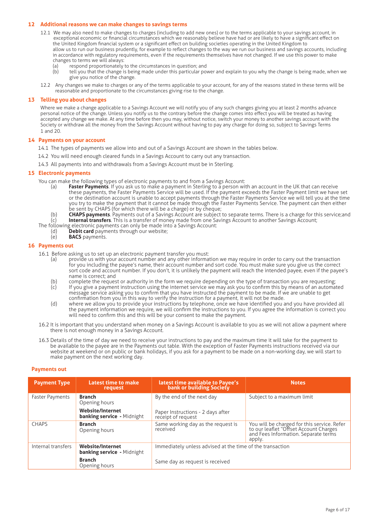# **12 Additional reasons we can make changes to savings terms**

- 12.1 We may also need to make changes to charges (including to add new ones) or to the terms applicable to your savings account, in exceptional economic or financial circumstances which we reasonably believe have had or are likely to have a significant effect on the United Kingdom financial system or a significant effect on building societies operating in the United Kingdom to allow us to run our business prudently, for example to reflect changes to the way we run our business and savings accounts, including in accordance with regulatory requirements, even if the requirements themselves have not changed. If we use this power to make changes to terms we will always:
	- (a) respond proportionately to the circumstances in question; and
	- (b) tell you that the change is being made under this particular power and explain to you why the change is being made, when we give you notice of the change.
- 12.2 Any changes we make to charges or any of the terms applicable to your account, for any of the reasons stated in these terms will be reasonable and proportionate to the circumstances giving rise to the change.

# **13 Telling you about changes**

Where we make a change applicable to a Savings Account we will notify you of any such changes giving you at least 2 months advance personal notice of the change. Unless you notify us to the contrary before the change comes into effect you will be treated as having accepted any change we make. At any time before then you may, without notice, switch your money to another savings account with the Society or withdraw all the money from the Savings Account without having to pay any charge for doing so, subject to Savings Terms 1 and 20.

#### **14 Payments on your account**

- 14.1 The types of payments we allow into and out of a Savings Account are shown in the tables below.
- 14.2 You will need enough cleared funds in a Savings Account to carry out any transaction.
- 14.3 All payments into and withdrawals from a Savings Account must be in Sterling.

# **15 Electronic payments**

You can make the following types of electronic payments to and from a Savings Account:

- (a) **Faster Payments**. If you ask us to make a payment in Sterling to a person with an account in the UK that can receive these payments, the Faster Payments Service will be used. If the payment exceeds the Faster Payment limit we have set or the destination account is unable to accept payments through the Faster Payments Service we will tell you at the time you try to make the payment that it cannot be made through the Faster Payments Service. The payment can then either be sent by CHAPS (for which there will be a charge) or by cheque;
- (b) **CHAPS payments**. Payments out of a Savings Account are subject to separate terms. There is a charge for this service;and (c) **Internal transfers**. This is a transfer of money made from one Savings Account to another Savings Account;
- The following electronic payments can only be made into a Savings Account:<br>(d) **Debit card** payments through our website;
	- Debit card payments through our website;
	- (e) **BACS** payments.

# **16 Payments out**

- 16.1 Before asking us to set up an electronic payment transfer you must:
	- (a) provide us with your account number and any other information we may require in order to carry out the transaction for you including the payee's name, their account number and sort code. You must make sure you give us the correct sort code and account number. If you don't, it is unlikely the payment will reach the intended payee, even if the payee's name is correct; and
	- (b) complete the request or authority in the form we require depending on the type of transaction you are requesting;<br>(c) If you give a payment instruction using the internet service we may ask you to confirm this by mean
	- (c) If you give a payment instruction using the internet service we may ask you to confirm this by means of an automated message service asking you to confirm that you have instructed the payment to be made. If we are unable to get confirmation from you in this way to verify the instruction for a payment, it will not be made.
	- (d) where we allow you to provide your instructions by telephone, once we have identified you and you have provided all the payment information we require, we will confirm the instructions to you. If you agree the information is correct you will need to confirm this and this will be your consent to make the payment.
- 16.2 It is important that you understand when money on a Savings Account is available to you as we will not allow a payment where there is not enough money in a Savings Account.
- 16.3 Details of the time of day we need to receive your instructions to pay and the maximum time it will take for the payment to be available to the payee are in the Payments out table. With the exception of Faster Payments instructions received via our website at weekend or on public or bank holidays, if you ask for a payment to be made on a non-working day, we will start to make payment on the next working day.

#### **Payments out**

| <b>Payment Type</b> | <b>Latest time to make</b><br>request                        | latest time available to Payee's<br>bank or building Society                                 | <b>Notes</b>                                                                                                                            |  |
|---------------------|--------------------------------------------------------------|----------------------------------------------------------------------------------------------|-----------------------------------------------------------------------------------------------------------------------------------------|--|
| Faster Payments     | <b>Branch</b><br>Opening hours                               | By the end of the next day                                                                   | Subject to a maximum limit                                                                                                              |  |
|                     | <b>Website/Internet</b><br><b>banking service</b> - Midnight | Paper Instructions - 2 days after<br>receipt of request                                      |                                                                                                                                         |  |
| <b>CHAPS</b>        | <b>Branch</b><br>Opening hours                               | Same working day as the request is<br>received                                               | You will be charged for this service. Refer<br>to our leaflet "Offset Account Charges<br>and Fees Information. Separate terms<br>apply. |  |
| Internal transfers  | <b>Website/Internet</b><br><b>banking service</b> - Midnight | Immediately unless advised at the time of the transaction<br>Same day as request is received |                                                                                                                                         |  |
|                     | <b>Branch</b><br>Opening hours                               |                                                                                              |                                                                                                                                         |  |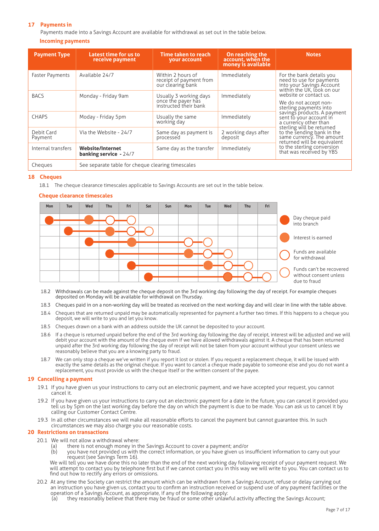# **17 Payments in**

Payments made into a Savings Account are available for withdrawal as set out in the table below. **Incoming payments**

| <b>Payment Type</b>    | Latest time for us to<br>receive payment                 | Time taken to reach<br><b>vour account</b>                            | On reaching the<br>account, when the<br>money is available | <b>Notes</b>                                                                                                                                                                                                                                                                        |  |
|------------------------|----------------------------------------------------------|-----------------------------------------------------------------------|------------------------------------------------------------|-------------------------------------------------------------------------------------------------------------------------------------------------------------------------------------------------------------------------------------------------------------------------------------|--|
| <b>Faster Payments</b> | Available 24/7                                           | Within 2 hours of<br>receipt of payment from<br>our clearing bank     | Immediately                                                | For the bank details you<br>need to use for payments<br>into your Savings Account<br>within the UK, look on our                                                                                                                                                                     |  |
| <b>BACS</b>            | Monday - Friday 9am                                      | Usually 3 working days<br>once the payer has<br>instructed their bank | Immediately                                                | website or contact us.<br>We do not accept non-<br>sterling payments into<br>savings products. A payment<br>sent to your account in<br>a currency other than<br>sterling will be returned<br>to the sending bank in the<br>same currency. The amount<br>returned will be equivalent |  |
| <b>CHAPS</b>           | Moday - Friday 5pm                                       | Usually the same<br>working day                                       | Immediately                                                |                                                                                                                                                                                                                                                                                     |  |
| Debit Card<br>Payment  | Via the Website - 24/7                                   | Same day as payment is<br>processed                                   | 2 working days after<br>deposit                            |                                                                                                                                                                                                                                                                                     |  |
| Internal transfers     | <b>Website/Internet</b><br><b>banking service - 24/7</b> | Same day as the transfer                                              | Immediately                                                | to the sterling conversion<br>that was received by YBS                                                                                                                                                                                                                              |  |
| Cheques                | See separate table for cheque clearing timescales        |                                                                       |                                                            |                                                                                                                                                                                                                                                                                     |  |

# **18 Cheques**

18.1 The cheque clearance timescales applicable to Savings Accounts are set out in the table below.

# **Cheque clearance timescales**



- 18.2 Withdrawals can be made against the cheque deposit on the 3rd working day following the day of receipt. For example cheques deposited on Monday will be available for withdrawal on Thursday.
- 18.3 Cheques paid in on a non-working day will be treated as received on the next working day and will clear in line with the table above.
- 18.4 Cheques that are returned unpaid may be automatically represented for payment a further two times. If this happens to a cheque you deposit, we will write to you and let you know.
- 18.5 Cheques drawn on a bank with an address outside the UK cannot be deposited to your account.
- 18.6 If a cheque is returned unpaid before the end of the 3rd working day following the day of receipt, interest will be adjusted and we will debit your account with the amount of the cheque even if we have allowed withdrawals against it. A cheque that has been returned unpaid after the 3rd working day following the day of receipt will not be taken from your account without your consent unless we reasonably believe that you are a knowing party to fraud.
- 18.7 We can only stop a cheque we've written if you report it lost or stolen. If you request a replacement cheque, it will be issued with exactly the same details as the original cheque. If you want to cancel a cheque made payable to someone else and you do not want a replacement, you must provide us with the cheque itself or the written consent of the payee.

# **19 Cancelling a payment**

- 19.1 If you have given us your instructions to carry out an electronic payment, and we have accepted your request, you cannot cancel it.
- 19.2 If you have given us your instructions to carry out an electronic payment for a date in the future, you can cancel it provided you tell us by 5pm on the last working day before the day on which the payment is due to be made. You can ask us to cancel it by calling our Customer Contact Centre.
- 19.3 In all other circumstances we will make all reasonable efforts to cancel the payment but cannot guarantee this. In such circumstances we may also charge you our reasonable costs.

# **20 Restrictions on transactions**

- 20.1 We will not allow a withdrawal where:
	- (a) there is not enough money in the Savings Account to cover a payment; and/or<br>(b) you have not provided us with the correct information or you have given us in
	- you have not provided us with the correct information, or you have given us insufficient information to carry out your request (see Savings Term 16).

We will tell you we have done this no later than the end of the next working day following receipt of your payment request. We will attempt to contact you by telephone first but if we cannot contact you in this way we will write to you. You can contact us to find out how to rectify any errors or omissions.

- 20.2 At any time the Society can restrict the amount which can be withdrawn from a Savings Account, refuse or delay carrying out an instruction you have given us, contact you to confirm an instruction received or suspend use of any payment facilities or the operation of a Savings Account, as appropriate, if any of the following apply:
	- (a) they reasonably believe that there may be fraud or some other unlawful activity affecting the Savings Account;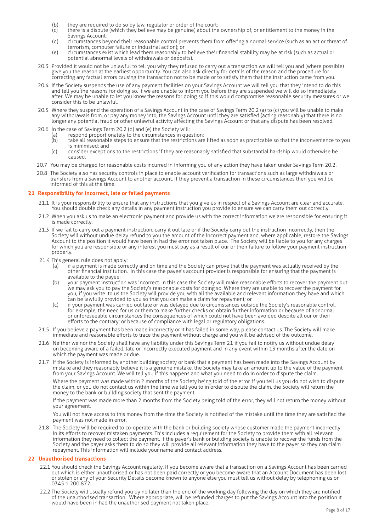- (b) they are required to do so by law, regulator or order of the court;<br>(c) there is a dispute (which they believe may be genuine) about the
- there is a dispute (which they believe may be genuine) about the ownership of, or entitlement to the money in the Savings Account;
- (d) circumstances beyond their reasonable control prevents them from offering a normal service (such as an act or threat of terrorism, computer failure or industrial action); or
- (e) circumstances exist which lead them reasonably to believe their financial stability may be at risk (such as actual or potential abnormal levels of withdrawals or deposits).
- 20.3 Provided it would not be unlawful to tell you why they refused to carry out a transaction we will tell you and (where possible) give you the reason at the earliest opportunity. You can also ask directly for details of the reason and the procedure for correcting any factual errors causing the transaction not to be made or to satisfy them that the instruction came from you.
- 20.4 If the Society suspends the use of any payment facilities on your Savings Account we will tell you that they intend to do this and tell you the reasons for doing so. If we are unable to inform you before they are suspended we will do so immediately after. We may be unable to let you know the reasons for doing so if this would compromise reasonable security measures or we consider this to be unlawful.
- 20.5 Where they suspend the operation of a Savings Account in the case of Savings Term 20.2 (a) to (c) you will be unable to make any withdrawals from, or pay any money into, the Savings Account until they are satisfied (acting reasonably) that there is no longer any potential fraud or other unlawful activity affecting the Savings Account or that any dispute has been resolved.
- 20.6 In the case of Savings Term 20.2 (d) and (e) the Society will:
	- (a) respond proportionately to the circumstances in question;
	- (b) take all reasonable steps to ensure that the restrictions are lifted as soon as practicable so that the inconvenience to you is minimised; and
	- (c) consider exceptions to the restrictions if they are reasonably satisfied that substantial hardship would otherwise be caused.
- 20.7 You may be charged for reasonable costs incurred in informing you of any action they have taken under Savings Term 20.2.
- 20.8 The Society also has security controls in place to enable account verification for transactions such as large withdrawals or transfers from a Savings Account to another account. If they prevent a transaction in these circumstances then you will be informed of this at the time.

# **21 Responsibility for incorrect, late or failed payments**

- 21.1 It is your responsibility to ensure that any instructions that you give us in respect of a Savings Account are clear and accurate. You should double check any details in any payment instruction you provide to ensure we can carry them out correctly.
- 21.2 When you ask us to make an electronic payment and provide us with the correct information we are responsible for ensuring it is made correctly.
- 21.3 If we fail to carry out a payment instruction, carry it out late or if the Society carry out the instruction incorrectly, then the Society will without undue delay refund to you the amount of the incorrect payment and, where applicable, restore the Savings Account to the position it would have been in had the error not taken place. The Society will be liable to you for any charges for which you are responsible or any interest you must pay as a result of our or their failure to follow your payment instruction properly.
- 21.4 This general rule does not apply:
	- (a) if a payment is made correctly and on time and the Society can prove that the payment was actually received by the other financial institution. In this case the payee's account provider is responsible for ensuring that the payment is available to the payee;
	- (b) your payment instruction was incorrect. In this case the Society will make reasonable efforts to recover the payment but we may ask you to pay the Society's reasonable costs for doing so. Where they are unable to recover the payment for you, if you write to us the Society will provide you with all the available and relevant information they have and which can be lawfully provided to you so that you can make a claim for repayment; or
	- (c) if your payment was carried out late or was delayed due to circumstances outside the Society's reasonable control, for example, the need for us or them to make further checks or, obtain further information or because of abnormal or unforeseeable circumstances the consequences of which could not have been avoided despite all our or their efforts to the contrary; or because of compliance with legal or regulatory obligations.
- 21.5 If you believe a payment has been made incorrectly or it has failed in some way, please contact us. The Society will make immediate and reasonable efforts to trace the payment without charge and you will be advised of the outcome.
- 21.6 Neither we nor the Society shall have any liability under this Savings Term 21 if you fail to notify us without undue delay on becoming aware of a failed, late or incorrectly executed payment and in any event within 13 months after the date on which the payment was made or due.
- 21.7 If the Society is informed by another building society or bank that a payment has been made into the Savings Account by mistake and they reasonably believe it is a genuine mistake, the Society may take an amount up to the value of the payment from your Savings Account. We will tell you if this happens and what you need to do in order to dispute the claim.

Where the payment was made within 2 months of the Society being told of the error, if you tell us you do not wish to dispute the claim, or you do not contact us within the time we tell you to in order to dispute the claim, the Society will return the money to the bank or building society that sent the payment.

If the payment was made more than 2 months from the Society being told of the error, they will not return the money without your agreement.

You will not have access to this money from the time the Society is notified of the mistake until the time they are satisfied the payment was not made in error.

21.8 The Society will be required to co-operate with the bank or building society whose customer made the payment incorrectly in its efforts to recover mistaken payments. This includes a requirement for the Society to provide them with all relevant information they need to collect the payment. If the payer's bank or building society is unable to recover the funds from the Society and the payer asks them to do so they will provide all relevant information they have to the payer so they can claim repayment. This information will include your name and contact address.

# **22 Unauthorised transactions**

- 22.1 You should check the Savings Account regularly. If you become aware that a transaction on a Savings Account has been carried out which is either unauthorised or has not been paid correctly or you become aware that an Account Document has been lost or stolen or any of your Security Details become known to anyone else you must tell us without delay by telephoning us on 0345 1 200 872.
- 22.2 The Society will usually refund you by no later than the end of the working day following the day on which they are notified of the unauthorised transaction. Where appropriate, will be refunded charges to put the Savings Account into the position it would have been in had the unauthorised payment not taken place.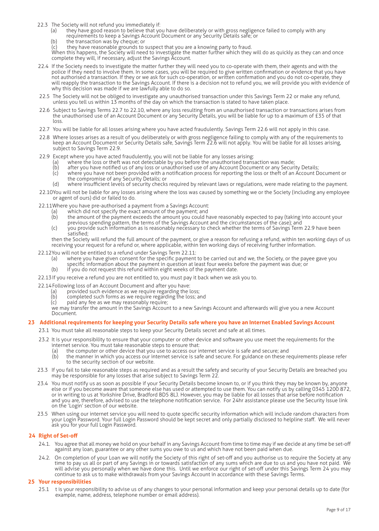- 22.3 The Society will not refund you immediately if:
	- (a) they have good reason to believe that you have deliberately or with gross negligence failed to comply with any requirements to keep a Savings Account Document or any Security Details safe; or
	- (b) the transaction was by cheque; or
	- (c) they have reasonable grounds to suspect that you are a knowing party to fraud.
	- When this happens, the Society will need to investigate the matter further which they will do as quickly as they can and once complete they will, if necessary, adjust the Savings Account.
- 22.4 If the Society needs to investigate the matter further they will need you to co-operate with them, their agents and with the police if they need to involve them. In some cases, you will be required to give written confirmation or evidence that you have not authorised a transaction. If they or we ask for such co-operation, or written confirmation and you do not co-operate, they will reapply the transaction to the Savings Account. If there is a decision not to refund you, we will provide you with evidence of why this decision was made if we are lawfully able to do so.
- 22.5 The Society will not be obliged to investigate any unauthorised transaction under this Savings Term 22 or make any refund, unless you tell us within 13 months of the day on which the transaction is stated to have taken place.
- 22.6 Subject to Savings Terms 22.7 to 22.10, where any loss resulting from an unauthorised transaction or transactions arises from the unauthorised use of an Account Document or any Security Details, you will be liable for up to a maximum of £35 of that loss.
- 22.7 You will be liable for all losses arising where you have acted fraudulently. Savings Term 22.6 will not apply in this case.
- 22.8 Where losses arises as a result of you deliberately or with gross negligence failing to comply with any of the requirements to keep an Account Document or Security Details safe, Savings Term 22.6 will not apply. You will be liable for all losses arising, subject to Savings Term 22.9.
- 22.9 Except where you have acted fraudulently, you will not be liable for any losses arising:
	- (a) where the loss or theft was not detectable by you before the unauthorised transaction was made;<br>(b) after you have notified us of any loss or unauthorised use of any Account Document or any Securi
	-
	- (b) after you have notified us of any loss or unauthorised use of any Account Document or any Security Details;<br>(c) where you have not been provided with a notification process for reporting the loss or theft of an Account where you have not been provided with a notification process for reporting the loss or theft of an Account Document or the compromise of any Security Details; or
	- (d) where insufficient levels of security checks required by relevant laws or regulations, were made relating to the payment.
- 22.10You will not be liable for any losses arising where the loss was caused by something we or the Society (including any employee or agent of ours) did or failed to do.
- 22.11Where you have pre-authorised a payment from a Savings Account:
	- (a) which did not specify the exact amount of the payment; and
	- (b) the amount of the payment exceeds the amount you could have reasonably expected to pay (taking into account your previous spending pattern, the terms of the Savings Account and the circumstances of the case); and
	- (c) you provide such information as is reasonably necessary to check whether the terms of Savings Term 22.9 have been satisfied;

then the Society will refund the full amount of the payment, or give a reason for refusing a refund, within ten working days of us receiving your request for a refund or, where applicable, within ten working days of receiving further information.

- 22.12You will not be entitled to a refund under Savings Term 22.11:
	- (a) where you have given consent for the specific payment to be carried out and we, the Society, or the payee gave you specific information about the payment in question at least four weeks before the payment was due; or
	- (b) if you do not request this refund within eight weeks of the payment date.

22.13If you receive a refund you are not entitled to, you must pay it back when we ask you to.

- 22.14Following loss of an Account Document and after you have:
	- (a) provided such evidence as we require regarding the loss;<br>(b) completed such forms as we require regarding the loss; an
	- (b) completed such forms as we require regarding the loss; and  $(c)$  paid any fee as we may reasonably require;
	- paid any fee as we may reasonably require;
	- we may transfer the amount in the Savings Account to a new Savings Account and afterwards will give you a new Account Document.

# **23 Additional requirements for keeping your Security Details safe where you have an Internet Enabled Savings Account**

- 23.1 You must take all reasonable steps to keep your Security Details secret and safe at all times.
- 23.2 It is your responsibility to ensure that your computer or other device and software you use meet the requirements for the internet service. You must take reasonable steps to ensure that:
	- (a) the computer or other device that you use to access our internet service is safe and secure; and<br>(b) the manner in which you access our internet service is safe and secure. For guidance on these re
	- the manner in which you access our internet service is safe and secure. For guidance on these requirements please refer to the security section of our website.
- 23.3 If you fail to take reasonable steps as required and as a result the safety and security of your Security Details are breached you may be responsible for any losses that arise subject to Savings Term 22.
- 23.4 You must notify us as soon as possible if your Security Details become known to, or if you think they may be known by, anyone else or if you become aware that someone else has used or attempted to use them. You can notify us by calling 0345 1200 872, or in writing to us at Yorkshire Drive, Bradford BD5 8LJ. However, you may be liable for all losses that arise before notification and you are, therefore, advised to use the telephone notification service. For 24hr assistance please use the Security Issue link on the 'Login' section of our website.
- 23.5 When using our internet service you will need to quote specific security information which will include random characters from your Login Password. Your full Login Password should be kept secret and only partially disclosed to helpline staff. We will never ask you for your full Login Password.

# **24 Right of Set-off**

- 24.1. You agree that all money we hold on your behalf in any Savings Account from time to time may if we decide at any time be set-off against any loan, guarantee or any other sums you owe to us and which have not been paid when due.
- 24.2. On completion of your Loan we will notify the Society of this right of set-off and you authorise us to require the Society at any time to pay us all or part of any Savings in or towards satisfaction of any sums which are due to us and you have not paid. We will advise you personally when we have done this. Until we enforce our right of set-off under this Savings Term 24 you may continue to ask us to make withdrawals from your Savings Account in accordance with these Savings Terms.

# **25 Your responsibilities**

25.1 t is your responsibility to advise us of any changes to your personal information and keep your personal details up to date (for example, name, address, telephone number or email address).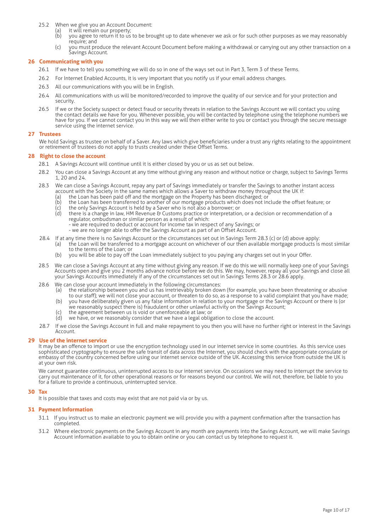- 25.2 When we give you an Account Document:
	- (a) it will remain our property;
	- (b) you agree to return it to us to be brought up to date whenever we ask or for such other purposes as we may reasonably require; and
	- (c) you must produce the relevant Account Document before making a withdrawal or carrying out any other transaction on a Savings Account.

# **26 Communicating with you**

- 26.1 If we have to tell you something we will do so in one of the ways set out in Part 3, Term 3 of these Terms.
- 26.2 For Internet Enabled Accounts, it is very important that you notify us if your email address changes.
- 26.3 All our communications with you will be in English.
- 26.4 All communications with us will be monitored/recorded to improve the quality of our service and for your protection and security.
- 26.5 If we or the Society suspect or detect fraud or security threats in relation to the Savings Account we will contact you using the contact details we have for you. Whenever possible, you will be contacted by telephone using the telephone numbers we have for you. If we cannot contact you in this way we will then either write to you or contact you through the secure message service using the internet service.

#### **27 Trustees**

We hold Savings as trustee on behalf of a Saver. Any laws which give beneficiaries under a trust any rights relating to the appointment or retirement of trustees do not apply to trusts created under these Offset Terms.

# **28 Right to close the account**

- 28.1 A Savings Account will continue until it is either closed by you or us as set out below.
- 28.2 You can close a Savings Account at any time without giving any reason and without notice or charge, subject to Savings Terms 1, 20 and 24.
- 28.3 We can close a Savings Account, repay any part of Savings immediately or transfer the Savings to another instant access account with the Society in the same names which allows a Saver to withdraw money throughout the UK if:
	- (a) the Loan has been paid off and the mortgage on the Property has been discharged; or
	- (b) the Loan has been transferred to another of our mortgage products which does not include the offset feature; or
	- (c) the only Savings Account is held by a Saver who is not also a borrower; or (d) there is a change in law, HM Revenue & Customs practice or interpretation there is a change in law, HM Revenue & Customs practice or interpretation, or a decision or recommendation of a regulator, ombudsman or similar person as a result of which:
		- we are required to deduct or account for income tax in respect of any Savings; or
		- we are no longer able to offer the Savings Account as part of an Offset Account.
- 28.4 If at any time there is no Savings Account or the circumstances set out in Savings Term 28.3 (c) or (d) above apply:
	- (a) the Loan will be transferred to a mortgage account on whichever of our then available mortgage products is most similar to the terms of the Loan; or
	- (b) you will be able to pay off the Loan immediately subject to you paying any charges set out in your Offer.
- 28.5 We can close a Savings Account at any time without giving any reason. If we do this we will normally keep one of your Savings Accounts open and give you 2 months advance notice before we do this. We may, however, repay all your Savings and close all your Savings Accounts immediately if any of the circumstances set out in Savings Terms 28.3 or 28.6 apply.
- 
- 28.6 We can close your account immediately in the following circumstances:<br>(a) the relationship between you and us has irretrievably broken dow the relationship between you and us has irretrievably broken down (for example, you have been threatening or abusive to our staff); we will not close your account, or threaten to do so, as a response to a valid complaint that you have made;
	- (b) you have deliberately given us any false information in relation to your mortgage or the Savings Account or there is (or we reasonably suspect there is) fraudulent or other unlawful activity on the Savings Account;
	- (c) the agreement between us is void or unenforceable at law; or
	- we have, or we reasonably consider that we have a legal obligation to close the account.
- 28.7 If we close the Savings Account in full and make repayment to you then you will have no further right or interest in the Savings Account.

# **29 Use of the internet service**

It may be an offence to import or use the encryption technology used in our internet service in some countries. As this service uses sophisticated cryptography to ensure the safe transit of data across the Internet, you should check with the appropriate consulate or embassy of the country concerned before using our internet service outside of the UK. Accessing this service from outside the UK is at your own risk.

We cannot guarantee continuous, uninterrupted access to our internet service. On occasions we may need to interrupt the service to carry out maintenance of it, for other operational reasons or for reasons beyond our control. We will not, therefore, be liable to you for a failure to provide a continuous, uninterrupted service.

#### **30 Tax**

It is possible that taxes and costs may exist that are not paid via or by us.

#### **31 Payment Information**

- 31.1 If you instruct us to make an electronic payment we will provide you with a payment confirmation after the transaction has completed.
- 31.2 Where electronic payments on the Savings Account in any month are payments into the Savings Account, we will make Savings Account information available to you to obtain online or you can contact us by telephone to request it.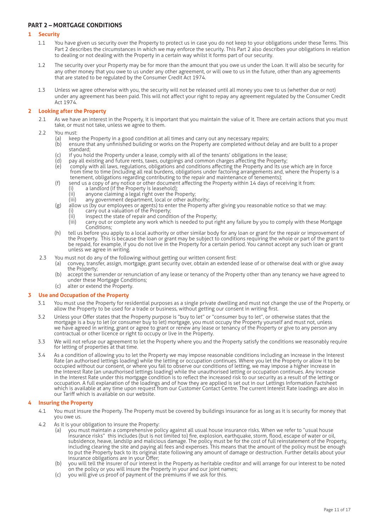# **PART 2 – MORTGAGE CONDITIONS**

# **1 Security**

- 1.1 You have given us security over the Property to protect us in case you do not keep to your obligations under these Terms. This Part 2 describes the circumstances in which we may enforce the security. This Part 2 also describes your obligations in relation to dealing or not dealing with the Property in a certain way whilst it forms part of our security.
- 1.2 The security over your Property may be for more than the amount that you owe us under the Loan. It will also be security for any other money that you owe to us under any other agreement, or will owe to us in the future, other than any agreements that are stated to be regulated by the Consumer Credit Act 1974.
- 1.3 Unless we agree otherwise with you, the security will not be released until all money you owe to us (whether due or not) under any agreement has been paid. This will not affect your right to repay any agreement regulated by the Consumer Credit Act 1974.

# **2 Looking after the Property**

2.1 As we have an interest in the Property, it is important that you maintain the value of it. There are certain actions that you must take, or must not take, unless we agree to them.

# 2.2 You must

- 
- (a) keep the Property in a good condition at all times and carry out any necessary repairs;<br>(b) ensure that any unfinished building or works on the Property are completed without d ensure that any unfinished building or works on the Property are completed without delay and are built to a proper standard;
- (c) if you hold the Property under a lease, comply with all of the tenants' obligations in the lease;<br>(d) pay all existing and future rents, taxes, outgoings and common charges affecting the Property;
- (d) pay all existing and future rents, taxes, outgoings and common charges affecting the Property; (e) comply with all laws, regulations, obligations and conditions affecting the Property and its use which are in force from time to time (including all real burdens, obligations under factoring arrangements and, where the Property is a
- tenement, obligations regarding contributing to the repair and maintenance of tenements); (f) send us a copy of any notice or other document affecting the Property within 14 days of receiving it from:
	- (i) a landlord (if the Property is leasehold);
	-
	- (ii) anyone claiming a legal right over the Property; (iii) any government department, local or other authority;
- (g) allow us (by our employees or agents) to enter the Property after giving you reasonable notice so that we may:<br>(i) carry out a valuation of the Property:
	- (i) carry out a valuation of the Property;<br>(ii) inspect the state of repair and condit
	- (ii) inspect the state of repair and condition of the Property;<br>(iii) carry out or complete any work which is needed to put ri
	- dispect the state of repair and condition of the rroperty.<br>Carry out or complete any work which is needed to put right any failure by you to comply with these Mortgage Conditions;
- (h) tell us before you apply to a local authority or other similar body for any loan or grant for the repair or improvement of the Property. This is because the loan or grant may be subject to conditions requiring the whole or part of the grant to be repaid, for example, if you do not live in the Property for a certain period. You cannot accept any such loan or grant unless we agree in writing.
- 2.3 You must not do any of the following without getting our written consent first:
	- (a) convey, transfer, assign, mortgage, grant security over, obtain an extended lease of or otherwise deal with or give away the Property;
	- (b) accept the surrender or renunciation of any lease or tenancy of the Property other than any tenancy we have agreed to under these Mortgage Conditions;
	- (c) alter or extend the Property.

# **3 Use and Occupation of the Property**

- 3.1 You must use the Property for residential purposes as a single private dwelling and must not change the use of the Property, or allow the Property to be used for a trade or business, without getting our consent in writing first.
- 3.2 Unless your Offer states that the Property purpose is "buy to let" or "consumer buy to let", or otherwise states that the mortgage is a buy to let (or consumer buy to let) mortgage, you must occupy the Property yourself and must not, unless we have agreed in writing, grant or agree to grant or renew any lease or tenancy of the Property or give to any person any contractual or other licence or right to occupy or live in the Property.
- 3.3 We will not refuse our agreement to let the Property where you and the Property satisfy the conditions we reasonably require for letting of properties at that time.
- 3.4 As a condition of allowing you to let the Property we may impose reasonable conditions including an increase in the Interest Rate (an authorised lettings loading) while the letting or occupation continues. Where you let the Property or allow it to be occupied without our consent, or where you fail to observe our conditions of letting, we may impose a higher increase in the Interest Rate (an unauthorised lettings loading) while the unauthorised letting or occupation continues. Any increase in the Interest Rate under this mortgage condition is to reflect the increased risk to our security as a result of the letting or occupation. A full explanation of the loadings and of how they are applied is set out in our Lettings Information Factsheet which is available at any time upon request from our Customer Contact Centre. The current Interest Rate loadings are also in our Tariff which is available on our website.

# **4 Insuring the Property**

- 4.1 You must insure the Property. The Property must be covered by buildings insurance for as long as it is security for money that you owe us.
- 4.2 As it is your obligation to insure the Property:
	- (a) you must maintain a comprehensive policy against all usual house insurance risks. When we refer to "usual house insurance risks" this includes (but is not limited to) fire, explosion, earthquake, storm, flood, escape of water or oil, subsidence, heave, landslip and malicious damage. The policy must be for the cost of full reinstatement of the Property, including clearing the site and paying all fees and expenses. This means that the amount of the policy must be enough to put the Property back to its original state following any amount of damage or destruction. Further details about your insurance obligations are in your Offer;
	- (b) you will tell the insurer of our interest in the Property as heritable creditor and will arrange for our interest to be noted on the policy or you will insure the Property in your and our joint names;
	- (c) you will give us proof of payment of the premiums if we ask for this.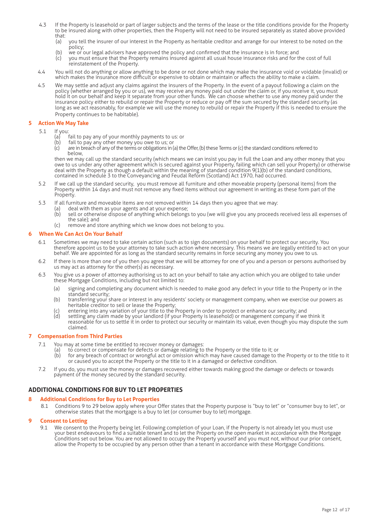- 4.3 If the Property is leasehold or part of larger subjects and the terms of the lease or the title conditions provide for the Property to be insured along with other properties, then the Property will not need to be insured separately as stated above provided that:<br>(a)
	- you tell the insurer of our interest in the Property as heritable creditor and arrange for our interest to be noted on the policy;
	- (b) we or our legal advisers have approved the policy and confirmed that the insurance is in force; and<br>(c) you must ensure that the Property remains insured against all usual house insurance risks and for t
	- you must ensure that the Property remains insured against all usual house insurance risks and for the cost of full reinstatement of the Property.
- 4.4 You will not do anything or allow anything to be done or not done which may make the insurance void or voidable (invalid) or which makes the insurance more difficult or expensive to obtain or maintain or affects the ability to make a claim.
- 4.5 We may settle and adjust any claims against the insurers of the Property. In the event of a payout following a claim on the policy (whether arranged by you or us), we may receive any money paid out under the claim or, if you receive it, you must hold it on our behalf and keep it separate from your other funds. We can choose whether to use any money paid under the insurance policy either to rebuild or repair the Property or reduce or pay off the sum secured by the standard security (as long as we act reasonably, for example we will use the money to rebuild or repair the Property if this is needed to ensure the Property continues to be habitable).

# **5 Action We May Take**

- 5.1 If you:
	- (a) fail to pay any of your monthly payments to us: or
	- (b) fail to pay any other money you owe to us; or
	- (c) are in breach of any of the terms or obligations in (a) the Offer, (b) these Terms or (c) the standard conditions referred to below,

then we may call up the standard security (which means we can insist you pay in full the Loan and any other money that you owe to us under any other agreement which is secured against your Property, failing which can sell your Property) or otherwise deal with the Property as though a default within the meaning of standard condition 9(1)(b) of the standard conditions, contained in schedule 3 to the Conveyancing and Feudal Reform (Scotland) Act 1970, had occurred.

- 5.2 If we call up the standard security, you must remove all furniture and other moveable property (personal items) from the Property within 14 days and must not remove any fixed items without our agreement in writing as these form part of the Property.
- 5.3 If all furniture and moveable items are not removed within 14 days then you agree that we may:<br>(a) deal with them as your agents and at your expense;
	- (a) deal with them as your agents and at your expense;<br>(b) sell or otherwise dispose of anything which belong;
	- sell or otherwise dispose of anything which belongs to you (we will give you any proceeds received less all expenses of the sale); and
	- $(c)$  remove and store anything which we know does not belong to you.

# **6 When We Can Act On Your Behalf**

- 6.1 Sometimes we may need to take certain action (such as to sign documents) on your behalf to protect our security. You therefore appoint us to be your attorney to take such action where necessary. This means we are legally entitled to act on your behalf. We are appointed for as long as the standard security remains in force securing any money you owe to us.
- 6.2 If there is more than one of you then you agree that we will be attorney for one of you and a person or persons authorised by us may act as attorney for the other(s) as necessary.
- 6.3 You give us a power of attorney authorising us to act on your behalf to take any action which you are obliged to take under these Mortgage Conditions, including but not limited to:
	- (a) signing and completing any document which is needed to make good any defect in your title to the Property or in the standard security;
	- (b) transferring your share or interest in any residents' society or management company, when we exercise our powers as heritable creditor to sell or lease the Property;
	- (c) entering into any variation of your title to the Property in order to protect or enhance our security; and
	- (d) settling any claim made by your landlord (if your Property is leasehold) or management company if we think it reasonable for us to settle it in order to protect our security or maintain its value, even though you may dispute the sum claimed.

# **7 Compensation from Third Parties**

- 7.1 You may at some time be entitled to recover money or damages:
	- (a) to correct or compensate for defects or damage relating to the Property or the title to it; or<br>(b) for any breach of contract or wrongful act or omission which may have caused damage to t
		- for any breach of contract or wrongful act or omission which may have caused damage to the Property or to the title to it or caused you to accept the Property or the title to it in a damaged or defective condition.
- 7.2 If you do, you must use the money or damages recovered either towards making good the damage or defects or towards payment of the money secured by the standard security.

# **ADDITIONAL CONDITIONS FOR BUY TO LET PROPERTIES**

# **8 Additional Conditions for Buy to Let Properties**

8.1 Conditions 9 to 29 below apply where your Offer states that the Property purpose is "buy to let" or "consumer buy to let", or otherwise states that the mortgage is a buy to let (or consumer buy to let) mortgage.

# **9 Consent to Letting**

9.1 We consent to the Property being let. Following completion of your Loan, if the Property is not already let you must use your best endeavours to find a suitable tenant and to let the Property on the open market in accordance with the Mortgage Conditions set out below. You are not allowed to occupy the Property yourself and you must not, without our prior consent, allow the Property to be occupied by any person other than a tenant in accordance with these Mortgage Conditions.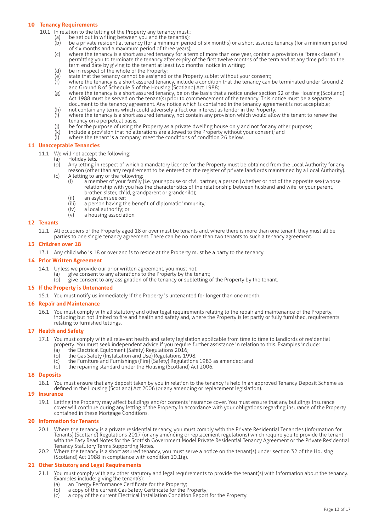# **10 Tenancy Requirements**

- 10.1 In relation to the letting of the Property any tenancy must::
	- (a) be set out in writing between you and the tenant(s);<br>(b) be a private residential tenancy (for a minimum peri
		- be a private residential tenancy (for a minimum period of six months) or a short assured tenancy (for a minimum period of six months and a maximum period of three years);
		- (c) where the tenancy is a short assured tenancy for a term of more than one year, contain a provision (a "break clause") permitting you to terminate the tenancy after expiry of the first twelve months of the term and at any time prior to the term end date by giving to the tenant at least two months' notice in writing;
		- (d) be in respect of the whole of the Property;
		- (e) state that the tenancy cannot be assigned or the Property sublet without your consent;
		- (f) where the tenancy is a short assured tenancy, include a condition that the tenancy can be terminated under Ground 2 and Ground 8 of Schedule 5 of the Housing (Scotland) Act 1988;
		- (g) where the tenancy is a short assured tenancy, be on the basis that a notice under section 32 of the Housing (Scotland) Act 1988 must be served on the tenant(s) prior to commencement of the tenancy. This notice must be a separate document to the tenancy agreement. Any notice which is contained in the tenancy agreement is not acceptable;
		- (h) not contain any terms which could adversely affect our interest as lender in the Property;<br>(i) where the tenancy is a short assured tenancy, not contain any provision which would allo
		- where the tenancy is a short assured tenancy, not contain any provision which would allow the tenant to renew the tenancy on a perpetual basis;
		- (j) be for the purpose of using the Property as a private dwelling house only and not for any other purpose;<br>(k) include a provision that no alterations are allowed to the Property without your consent; and
		- $\overline{R}(k)$  include a provision that no alterations are allowed to the Property without your consent; and  $\overline{R}(k)$  where the tenant is a company meet the conditions of condition 26 below
		- where the tenant is a company, meet the conditions of condition 26 below.

# **11 Unacceptable Tenancies**

- 11.1 We will not accept the following:
	- (a) Holiday lets.<br>(b) Any letting in
		- Any letting in respect of which a mandatory licence for the Property must be obtained from the Local Authority for any reason (other than any requirement to be entered on the register of private landlords maintained by a Local Authority).<br>(c) A letting to any of the following:
		- A letting to any of the following:
			- (i) a member of your family (i.e. your spouse or civil partner, a person (whether or not of the opposite sex) whose relationship with you has the characteristics of the relationship between husband and wife, or your parent, brother, sister, child, grandparent or grandchild);<br>(ii) an asylum seeker;
				-
				- (ii) an asylum seeker;<br>(iii) a person having th (iii) a person having the benefit of diplomatic immunity;<br>(iv) a local authority: or
			- (iv)  $\frac{1}{2}$  a local authority; or<br>(v) a housing association
			- a housing association.

# **12 Tenants**

12.1 All occupiers of the Property aged 18 or over must be tenants and, where there is more than one tenant, they must all be parties to one single tenancy agreement. There can be no more than two tenants to such a tenancy agreement.

#### **13 Children over 18**

13.1 Any child who is 18 or over and is to reside at the Property must be a party to the tenancy.

# **14 Prior Written Agreement**

- 14.1 Unless we provide our prior written agreement, you must not:
	- give consent to any alterations to the Property by the tenant;
		- give consent to any assignation of the tenancy or subletting of the Property by the tenant.

#### **15 If the Property is Untenanted**

15.1 You must notify us immediately if the Property is untenanted for longer than one month.

#### **16 Repair and Maintenance**

16.1 You must comply with all statutory and other legal requirements relating to the repair and maintenance of the Property, including but not limited to fire and health and safety and, where the Property is let partly or fully furnished, requirements relating to furnished lettings.

#### **17 Health and Safety**

- 17.1 You must comply with all relevant health and safety legislation applicable from time to time to landlords of residential property. You must seek independent advice if you require further assistance in relation to this. Examples include:
	-
	- (a) the Electrical Equipment (Safety) Regulations 2016;<br>(b) the Gas Safety (Installation and Use) Regulations 19 the Gas Safety (Installation and Use) Regulations 1998;
	- (c) the Furniture and Furnishings (Fire) (Safety) Regulations 1983 as amended; and
	- (d) the repairing standard under the Housing (Scotland) Act 2006.

#### **18 Deposits**

18.1 You must ensure that any deposit taken by you in relation to the tenancy is held in an approved Tenancy Deposit Scheme as defined in the Housing (Scotland) Act 2006 (or any amending or replacement legislation).

# **19 Insurance**

19.1 Letting the Property may affect buildings and/or contents insurance cover. You must ensure that any buildings insurance cover will continue during any letting of the Property in accordance with your obligations regarding insurance of the Property contained in these Mortgage Conditions.

#### **20 Information for Tenants**

- 20.1 Where the tenancy is a private residential tenancy, you must comply with the Private Residential Tenancies (Information for Tenants) (Scotland) Regulations 2017 (or any amending or replacement regulations) which require you to provide the tenant with the Easy Read Notes for the Scottish Government Model Private Residential Tenancy Agreement or the Private Residential Tenancy Statutory Terms Supporting Notes.
- 20.2 Where the tenancy is a short assured tenancy, you must serve a notice on the tenant(s) under section 32 of the Housing (Scotland) Act 1988 in compliance with condition 10.1(g).

#### **21 Other Statutory and Legal Requirements**

- 21.1 You must comply with any other statutory and legal requirements to provide the tenant(s) with information about the tenancy. Examples include: giving the tenant(s):
	- (a) an Energy Performance Certificate for the Property;<br>(b) a copy of the current Gas Safety Certificate for the
	- (b) a copy of the current Gas Safety Certificate for the Property;<br>(c) a copy of the current Electrical Installation Condition Report
	- a copy of the current Electrical Installation Condition Report for the Property.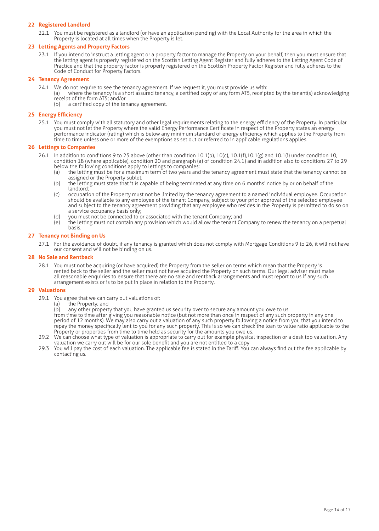# **22 Registered Landlord**

22.1 You must be registered as a landlord (or have an application pending) with the Local Authority for the area in which the Property is located at all times when the Property is let.

# **23 Letting Agents and Property Factors**

23.1 If you intend to instruct a letting agent or a property factor to manage the Property on your behalf, then you must ensure that the letting agent is properly registered on the Scottish Letting Agent Register and fully adheres to the Letting Agent Code of Practice and that the property factor is properly registered on the Scottish Property Factor Register and fully adheres to the Code of Conduct for Property Factors.

# **24 Tenancy Agreement**

- 24.1 We do not require to see the tenancy agreement. If we request it, you must provide us with:
	- (a) where the tenancy is a short assured tenancy, a certified copy of any form AT5, receipted by the tenant(s) acknowledging receipt of the form AT5; and/or
		- a certified copy of the tenancy agreement.

# **25 Energy Efficiency**

25.1 You must comply with all statutory and other legal requirements relating to the energy efficiency of the Property. In particular you must not let the Property where the valid Energy Performance Certificate in respect of the Property states an energy performance indicator (rating) which is below any minimum standard of energy efficiency which applies to the Property from time to time unless one or more of the exemptions as set out or referred to in applicable regulations applies.

# **26 Lettings to Companies**

- 26.1 In addition to conditions 9 to 25 above (other than condition  $10.1(b)$ ,  $10(c)$ ,  $10.1(f)$ ,  $10.1(g)$  and  $10.1(i)$  under condition 10, condition 18 (where applicable), condition 20 and paragraph (a) of condition 24.1) and in addition also to conditions 27 to 29 below the following conditions apply to lettings to companies:
	- (a) the letting must be for a maximum term of two years and the tenancy agreement must state that the tenancy cannot be assigned or the Property sublet;<br>(b) the letting must state that it is c
	- the letting must state that it is capable of being terminated at any time on 6 months' notice by or on behalf of the landlord;<br>c) occupatio
	- occupation of the Property must not be limited by the tenancy agreement to a named individual employee. Occupation should be available to any employee of the tenant Company, subject to your prior approval of the selected employee and subject to the tenancy agreement providing that any employee who resides in the Property is permitted to do so on a service occupancy basis only;
	- (d) you must not be connected to or associated with the tenant Company; and (e) the letting must not contain any provision which would allow the tenant Co
	- the letting must not contain any provision which would allow the tenant Company to renew the tenancy on a perpetual basis.

# **27 Tenancy not Binding on Us**

27.1 For the avoidance of doubt, if any tenancy is granted which does not comply with Mortgage Conditions 9 to 26, it will not have our consent and will not be binding on us.

# **28 No Sale and Rentback**

28.1 You must not be acquiring (or have acquired) the Property from the seller on terms which mean that the Property is rented back to the seller and the seller must not have acquired the Property on such terms. Our legal adviser must make all reasonable enquiries to ensure that there are no sale and rentback arrangements and must report to us if any such arrangement exists or is to be put in place in relation to the Property.

#### **29 Valuations**

29.1 You agree that we can carry out valuations of:

(a) the Property; and<br>(b) any other propert any other property that you have granted us security over to secure any amount you owe to us

from time to time after giving you reasonable notice (but not more than once in respect of any such property in any one period of 12 months). We may also carry out a valuation of any such property following a notice from you that you intend to repay the money specifically lent to you for any such property. This is so we can check the loan to value ratio applicable to the Property or properties from time to time held as security for the amounts you owe us.

- 29.2 We can choose what type of valuation is appropriate to carry out for example physical inspection or a desk top valuation. Any valuation we carry out will be for our sole benefit and you are not entitled to a copy
- 29.3 You will pay the cost of each valuation. The applicable fee is stated in the Tariff. You can always find out the fee applicable by contacting us.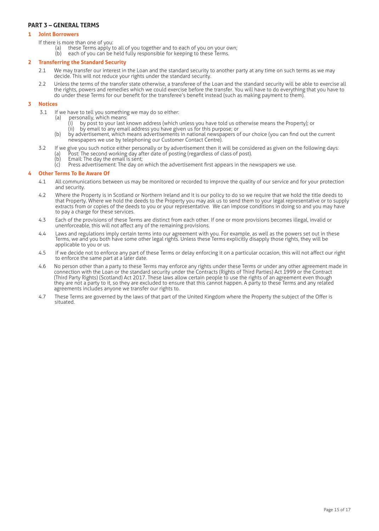# **PART 3 – GENERAL TERMS**

# **1 Joint Borrowers**

- If there is more than one of you:
	- (a) these Terms apply to all of you together and to each of you on your own;
	- (b) each of you can be held fully responsible for keeping to these Terms.

# **2 Transferring the Standard Security**

- 2.1 We may transfer our interest in the Loan and the standard security to another party at any time on such terms as we may decide. This will not reduce your rights under the standard security.
- 2.2 Unless the terms of the transfer state otherwise, a transferee of the Loan and the standard security will be able to exercise all the rights, powers and remedies which we could exercise before the transfer. You will have to do everything that you have to do under these Terms for our benefit for the transferee's benefit instead (such as making payment to them).

# **3 Notices**

- 3.1 If we have to tell you something we may do so either:
	- (a) personally, which means:
		- (i) by post to your last known address (which unless you have told us otherwise means the Property); or
		- (ii) by email to any email address you have given us for this purpose; or
	- (b) by advertisement, which means advertisements in national newspapers of our choice (you can find out the current newspapers we use by telephoning our Customer Contact Centre).
- 3.2 If we give you such notice either personally or by advertisement then it will be considered as given on the following days: (a) Post: The second working day after date of posting (regardless of class of post).
	-
	- $\overrightarrow{b}$  Email: The day the email is sent;<br>(c) Press advertisement: The day or Press advertisement: The day on which the advertisement first appears in the newspapers we use.

# **4 Other Terms To Be Aware Of**

- 4.1 All communications between us may be monitored or recorded to improve the quality of our service and for your protection and security.
- 4.2 Where the Property is in Scotland or Northern Ireland and it is our policy to do so we require that we hold the title deeds to that Property. Where we hold the deeds to the Property you may ask us to send them to your legal representative or to supply extracts from or copies of the deeds to you or your representative. We can impose conditions in doing so and you may have to pay a charge for these services.
- 4.3 Each of the provisions of these Terms are distinct from each other. If one or more provisions becomes illegal, invalid or unenforceable, this will not affect any of the remaining provisions.
- 4.4 Laws and regulations imply certain terms into our agreement with you. For example, as well as the powers set out in these Terms, we and you both have some other legal rights. Unless these Terms explicitly disapply those rights, they will be applicable to you or us.
- 4.5 If we decide not to enforce any part of these Terms or delay enforcing it on a particular occasion, this will not affect our right to enforce the same part at a later date.
- 4.6 No person other than a party to these Terms may enforce any rights under these Terms or under any other agreement made in connection with the Loan or the standard security under the Contracts (Rights of Third Parties) Act 1999 or the Contract (Third Party Rights) (Scotland) Act 2017. These laws allow certain people to use the rights of an agreement even though they are not a party to it, so they are excluded to ensure that this cannot happen. A party to these Terms and any related agreements includes anyone we transfer our rights to.
- 4.7 These Terms are governed by the laws of that part of the United Kingdom where the Property the subject of the Offer is situated.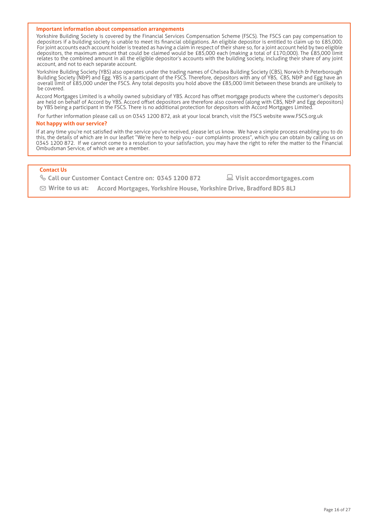#### **Important information about compensation arrangements**

Yorkshire Building Society is covered by the Financial Services Compensation Scheme (FSCS). The FSCS can pay compensation to depositors if a building society is unable to meet its financial obligations. An eligible depositor is entitled to claim up to £85,000. For joint accounts each account holder is treated as having a claim in respect of their share so, for a joint account held by two eligible depositors, the maximum amount that could be claimed would be £85,000 each (making a total of £170,000). The £85,000 limit relates to the combined amount in all the eligible depositor's accounts with the building society, including their share of any joint account, and not to each separate account.

Yorkshire Building Society (YBS) also operates under the trading names of Chelsea Building Society (CBS), Norwich & Peterborough Building Society (N&P) and Egg. YBS is a participant of the FSCS. Therefore, depositors with any of YBS, CBS, N&P and Egg have an overall limit of £85,000 under the FSCS. Any total deposits you hold above the £85,000 limit between these brands are unlikely to be covered.

Accord Mortgages Limited is a wholly owned subsidiary of YBS. Accord has offset mortgage products where the customer's deposits are held on behalf of Accord by YBS. Accord offset depositors are therefore also covered (along with CBS, N&P and Egg depositors) by YBS being a participant in the FSCS. There is no additional protection for depositors with Accord Mortgages Limited.

For further information please call us on 0345 1200 872, ask at your local branch, visit the FSCS website www.FSCS.org.uk

# **Not happy with our service?**

If at any time you're not satisfied with the service you've received, please let us know. We have a simple process enabling you to do this, the details of which are in our leaflet "We're here to help you - our complaints process", which you can obtain by calling us on 0345 1200 872. If we cannot come to a resolution to your satisfaction, you may have the right to refer the matter to the Financial Ombudsman Service, of which we are a member.

# **Contact Us**

**Call our Customer Contact Centre on: 0345 1200 872 Visit accordmortgages.com**

**Write to us at**: **Accord Mortgages, Yorkshire House, Yorkshire Drive, Bradford BD5 8LJ**